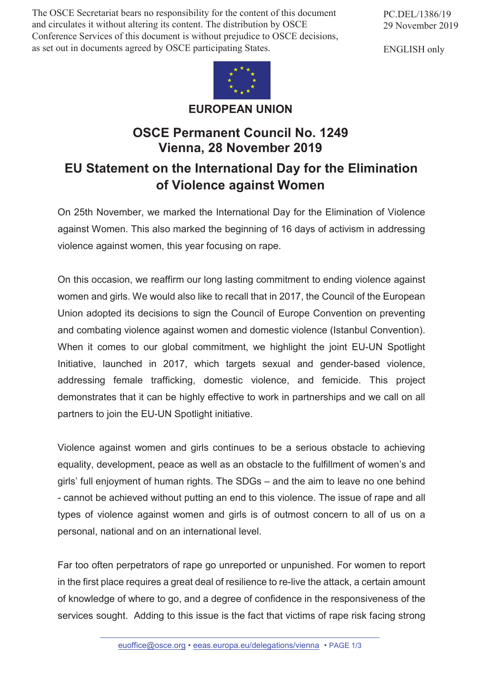The OSCE Secretariat bears no responsibility for the content of this document and circulates it without altering its content. The distribution by OSCE Conference Services of this document is without prejudice to OSCE decisions, as set out in documents agreed by OSCE participating States.



**EUROPEAN UNION**

## **OSCE Permanent Council No. 1249 Vienna, 28 November 2019**

## **EU Statement on the International Day for the Elimination of Violence against Women**

On 25th November, we marked the International Day for the Elimination of Violence against Women. This also marked the beginning of 16 days of activism in addressing violence against women, this year focusing on rape.

On this occasion, we reaffirm our long lasting commitment to ending violence against women and girls. We would also like to recall that in 2017, the Council of the European Union adopted its decisions to sign the Council of Europe Convention on preventing and combating violence against women and domestic violence (Istanbul Convention). When it comes to our global commitment, we highlight the joint EU-UN Spotlight Initiative, launched in 2017, which targets sexual and gender-based violence, addressing female trafficking, domestic violence, and femicide. This project demonstrates that it can be highly effective to work in partnerships and we call on all partners to join the EU-UN Spotlight initiative.

Violence against women and girls continues to be a serious obstacle to achieving equality, development, peace as well as an obstacle to the fulfillment of women's and girls' full enjoyment of human rights. The SDGs – and the aim to leave no one behind - cannot be achieved without putting an end to this violence. The issue of rape and all types of violence against women and girls is of outmost concern to all of us on a personal, national and on an international level.

Far too often perpetrators of rape go unreported or unpunished. For women to report in the first place requires a great deal of resilience to re-live the attack, a certain amount of knowledge of where to go, and a degree of confidence in the responsiveness of the services sought. Adding to this issue is the fact that victims of rape risk facing strong

PC.DEL/1386/19 29 November 2019

ENGLISH only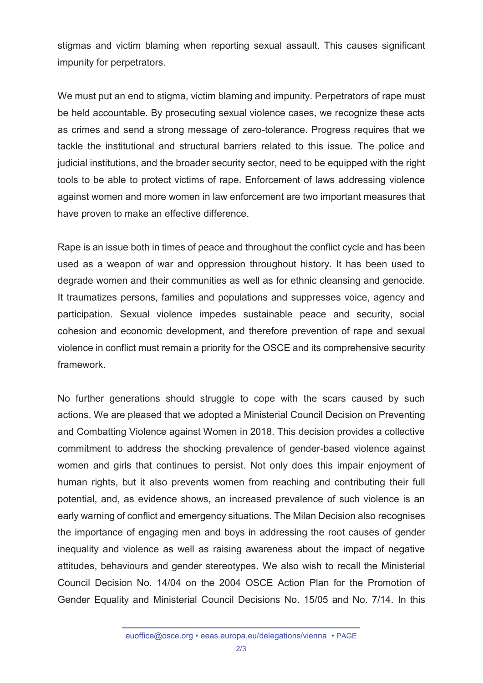stigmas and victim blaming when reporting sexual assault. This causes significant impunity for perpetrators.

We must put an end to stigma, victim blaming and impunity. Perpetrators of rape must be held accountable. By prosecuting sexual violence cases, we recognize these acts as crimes and send a strong message of zero-tolerance. Progress requires that we tackle the institutional and structural barriers related to this issue. The police and judicial institutions, and the broader security sector, need to be equipped with the right tools to be able to protect victims of rape. Enforcement of laws addressing violence against women and more women in law enforcement are two important measures that have proven to make an effective difference.

Rape is an issue both in times of peace and throughout the conflict cycle and has been used as a weapon of war and oppression throughout history. It has been used to degrade women and their communities as well as for ethnic cleansing and genocide. It traumatizes persons, families and populations and suppresses voice, agency and participation. Sexual violence impedes sustainable peace and security, social cohesion and economic development, and therefore prevention of rape and sexual violence in conflict must remain a priority for the OSCE and its comprehensive security framework.

No further generations should struggle to cope with the scars caused by such actions. We are pleased that we adopted a Ministerial Council Decision on Preventing and Combatting Violence against Women in 2018. This decision provides a collective commitment to address the shocking prevalence of gender-based violence against women and girls that continues to persist. Not only does this impair enjoyment of human rights, but it also prevents women from reaching and contributing their full potential, and, as evidence shows, an increased prevalence of such violence is an early warning of conflict and emergency situations. The Milan Decision also recognises the importance of engaging men and boys in addressing the root causes of gender inequality and violence as well as raising awareness about the impact of negative attitudes, behaviours and gender stereotypes. We also wish to recall the Ministerial Council Decision No. 14/04 on the 2004 OSCE Action Plan for the Promotion of Gender Equality and Ministerial Council Decisions No. 15/05 and No. 7/14. In this